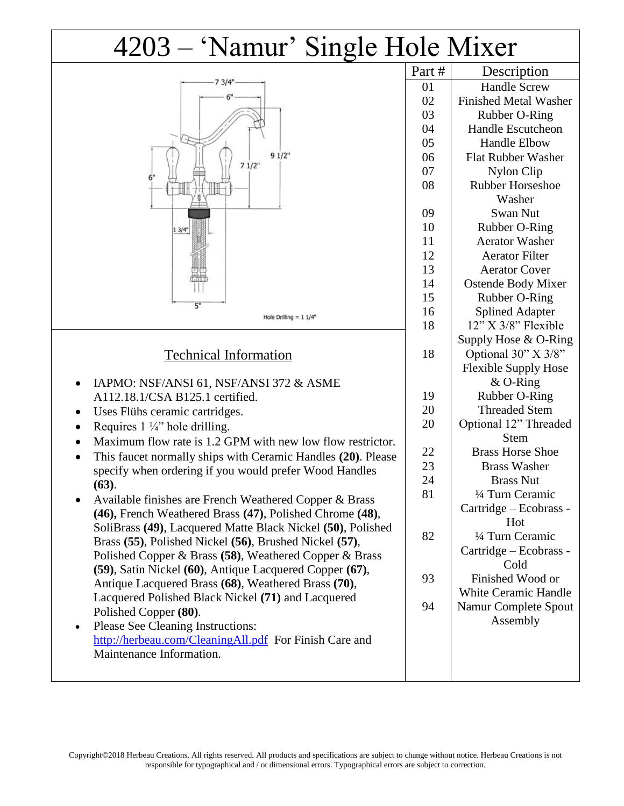## 4203 – 'Namur' Single Hole Mixer

|                                                                           | Part # | Description                  |
|---------------------------------------------------------------------------|--------|------------------------------|
| 7 3/4                                                                     | 01     | <b>Handle Screw</b>          |
|                                                                           | 02     | <b>Finished Metal Washer</b> |
|                                                                           | 03     | Rubber O-Ring                |
|                                                                           | 04     | <b>Handle Escutcheon</b>     |
|                                                                           | 05     | <b>Handle Elbow</b>          |
| 91/2"                                                                     | 06     | <b>Flat Rubber Washer</b>    |
| 71/2"                                                                     | 07     | Nylon Clip                   |
| 6"                                                                        | 08     | <b>Rubber Horseshoe</b>      |
|                                                                           |        | Washer                       |
|                                                                           | 09     | Swan Nut                     |
| 13/4"                                                                     | 10     | Rubber O-Ring                |
|                                                                           | 11     | <b>Aerator Washer</b>        |
|                                                                           | 12     | <b>Aerator Filter</b>        |
|                                                                           | 13     | <b>Aerator Cover</b>         |
|                                                                           | 14     | <b>Ostende Body Mixer</b>    |
|                                                                           | 15     | Rubber O-Ring                |
| 5"<br>Hole Drilling = $11/4"$                                             | 16     | <b>Splined Adapter</b>       |
|                                                                           | 18     | $12$ " X $3/8$ " Flexible    |
|                                                                           |        | Supply Hose & O-Ring         |
| <b>Technical Information</b>                                              | 18     | Optional 30" X 3/8"          |
|                                                                           |        | <b>Flexible Supply Hose</b>  |
| IAPMO: NSF/ANSI 61, NSF/ANSI 372 & ASME<br>$\bullet$                      |        | $&$ O-Ring                   |
| A112.18.1/CSA B125.1 certified.                                           | 19     | Rubber O-Ring                |
| Uses Flühs ceramic cartridges.                                            | 20     | <b>Threaded Stem</b>         |
| Requires $1\frac{1}{4}$ hole drilling.<br>٠                               | 20     | Optional 12" Threaded        |
| Maximum flow rate is 1.2 GPM with new low flow restrictor.                |        | <b>Stem</b>                  |
| This faucet normally ships with Ceramic Handles (20). Please<br>$\bullet$ | 22     | <b>Brass Horse Shoe</b>      |
| specify when ordering if you would prefer Wood Handles                    | 23     | <b>Brass Washer</b>          |
| (63).                                                                     | 24     | <b>Brass Nut</b>             |
| Available finishes are French Weathered Copper & Brass                    | 81     | 1/4 Turn Ceramic             |
| (46), French Weathered Brass (47), Polished Chrome (48),                  |        | Cartridge - Ecobrass -       |
| SoliBrass (49), Lacquered Matte Black Nickel (50), Polished               |        | Hot                          |
| Brass (55), Polished Nickel (56), Brushed Nickel (57),                    | 82     | 1/4 Turn Ceramic             |
| Polished Copper & Brass (58), Weathered Copper & Brass                    |        | Cartridge – Ecobrass -       |
| (59), Satin Nickel (60), Antique Lacquered Copper (67),                   |        | Cold                         |
| Antique Lacquered Brass (68), Weathered Brass (70),                       | 93     | Finished Wood or             |
| Lacquered Polished Black Nickel (71) and Lacquered                        |        | <b>White Ceramic Handle</b>  |
| Polished Copper (80).                                                     | 94     | <b>Namur Complete Spout</b>  |
| Please See Cleaning Instructions:<br>$\bullet$                            |        | Assembly                     |
| http://herbeau.com/CleaningAll.pdf For Finish Care and                    |        |                              |
| Maintenance Information.                                                  |        |                              |
|                                                                           |        |                              |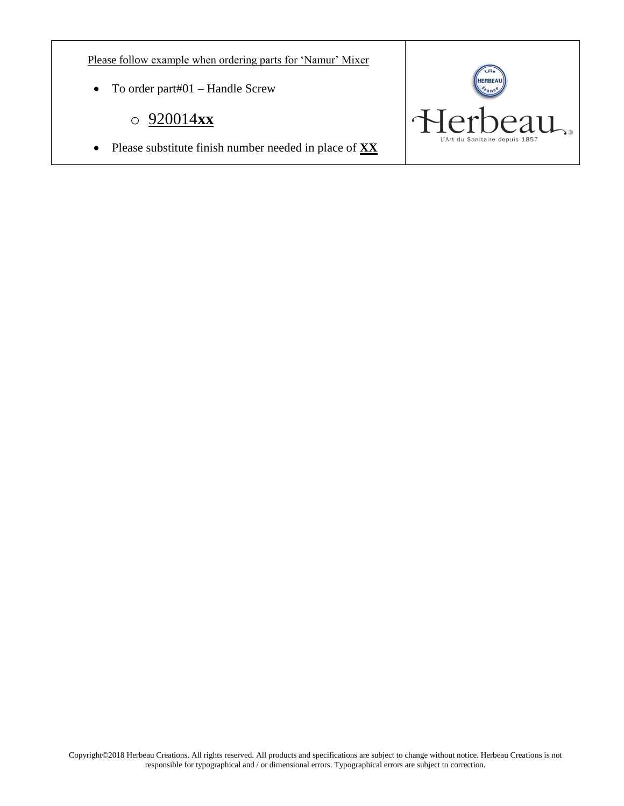Please follow example when ordering parts for 'Namur' Mixer

- To order part#01 Handle Screw
	- o 920014**xx**
- Please substitute finish number needed in place of **XX**

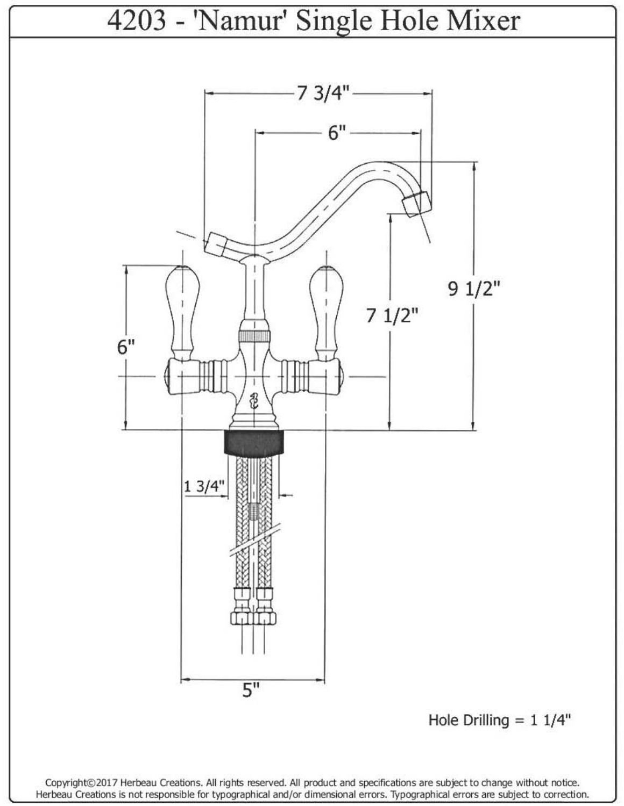

Herbeau Creations is not responsible for typographical and/or dimensional errors. Typographical errors are subject to correction.